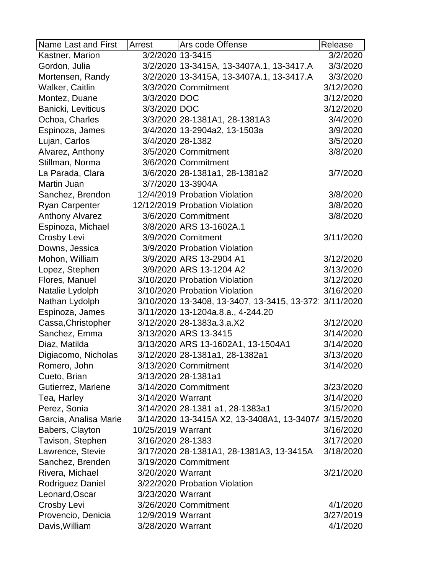| Name Last and First    | Arrest             | Ars code Offense                                     | Release   |
|------------------------|--------------------|------------------------------------------------------|-----------|
| Kastner, Marion        | 3/2/2020 13-3415   |                                                      | 3/2/2020  |
| Gordon, Julia          |                    | 3/2/2020 13-3415A, 13-3407A.1, 13-3417.A             | 3/3/2020  |
| Mortensen, Randy       |                    | 3/2/2020 13-3415A, 13-3407A.1, 13-3417.A             | 3/3/2020  |
| Walker, Caitlin        |                    | 3/3/2020 Commitment                                  | 3/12/2020 |
| Montez, Duane          | 3/3/2020 DOC       |                                                      | 3/12/2020 |
| Banicki, Leviticus     | 3/3/2020 DOC       |                                                      | 3/12/2020 |
| Ochoa, Charles         |                    | 3/3/2020 28-1381A1, 28-1381A3                        | 3/4/2020  |
| Espinoza, James        |                    | 3/4/2020 13-2904a2, 13-1503a                         | 3/9/2020  |
| Lujan, Carlos          | 3/4/2020 28-1382   |                                                      | 3/5/2020  |
| Alvarez, Anthony       |                    | 3/5/2020 Commitment                                  | 3/8/2020  |
| Stillman, Norma        |                    | 3/6/2020 Commitment                                  |           |
| La Parada, Clara       |                    | 3/6/2020 28-1381a1, 28-1381a2                        | 3/7/2020  |
| Martin Juan            |                    | 3/7/2020 13-3904A                                    |           |
| Sanchez, Brendon       |                    | 12/4/2019 Probation Violation                        | 3/8/2020  |
| <b>Ryan Carpenter</b>  |                    | 12/12/2019 Probation Violation                       | 3/8/2020  |
| <b>Anthony Alvarez</b> |                    | 3/6/2020 Commitment                                  | 3/8/2020  |
| Espinoza, Michael      |                    | 3/8/2020 ARS 13-1602A.1                              |           |
| Crosby Levi            |                    | 3/9/2020 Comitment                                   | 3/11/2020 |
| Downs, Jessica         |                    | 3/9/2020 Probation Violation                         |           |
| Mohon, William         |                    | 3/9/2020 ARS 13-2904 A1                              | 3/12/2020 |
| Lopez, Stephen         |                    | 3/9/2020 ARS 13-1204 A2                              | 3/13/2020 |
| Flores, Manuel         |                    | 3/10/2020 Probation Violation                        | 3/12/2020 |
| Natalie Lydolph        |                    | 3/10/2020 Probation Violation                        | 3/16/2020 |
| Nathan Lydolph         |                    | 3/10/2020 13-3408, 13-3407, 13-3415, 13-372          | 3/11/2020 |
| Espinoza, James        |                    | 3/11/2020 13-1204a.8.a., 4-244.20                    |           |
| Cassa, Christopher     |                    | 3/12/2020 28-1383a.3.a.X2                            | 3/12/2020 |
| Sanchez, Emma          |                    | 3/13/2020 ARS 13-3415                                | 3/14/2020 |
| Diaz, Matilda          |                    | 3/13/2020 ARS 13-1602A1, 13-1504A1                   | 3/14/2020 |
| Digiacomo, Nicholas    |                    | 3/12/2020 28-1381a1, 28-1382a1                       | 3/13/2020 |
| Romero, John           |                    | 3/13/2020 Commitment                                 | 3/14/2020 |
| Cueto, Brian           |                    | 3/13/2020 28-1381a1                                  |           |
| Gutierrez, Marlene     |                    | 3/14/2020 Commitment                                 | 3/23/2020 |
| Tea, Harley            | 3/14/2020 Warrant  |                                                      | 3/14/2020 |
| Perez, Sonia           |                    | 3/14/2020 28-1381 a1, 28-1383a1                      | 3/15/2020 |
| Garcia, Analisa Marie  |                    | 3/14/2020 13-3415A X2, 13-3408A1, 13-3407A 3/15/2020 |           |
| Babers, Clayton        | 10/25/2019 Warrant |                                                      | 3/16/2020 |
| Tavison, Stephen       | 3/16/2020 28-1383  |                                                      | 3/17/2020 |
| Lawrence, Stevie       |                    | 3/17/2020 28-1381A1, 28-1381A3, 13-3415A             | 3/18/2020 |
| Sanchez, Brenden       |                    | 3/19/2020 Commitment                                 |           |
| Rivera, Michael        | 3/20/2020 Warrant  |                                                      | 3/21/2020 |
| Rodriguez Daniel       |                    | 3/22/2020 Probation Violation                        |           |
| Leonard, Oscar         | 3/23/2020 Warrant  |                                                      |           |
| Crosby Levi            |                    | 3/26/2020 Commitment                                 | 4/1/2020  |
| Provencio, Denicia     | 12/9/2019 Warrant  |                                                      | 3/27/2019 |
| Davis, William         | 3/28/2020 Warrant  |                                                      | 4/1/2020  |